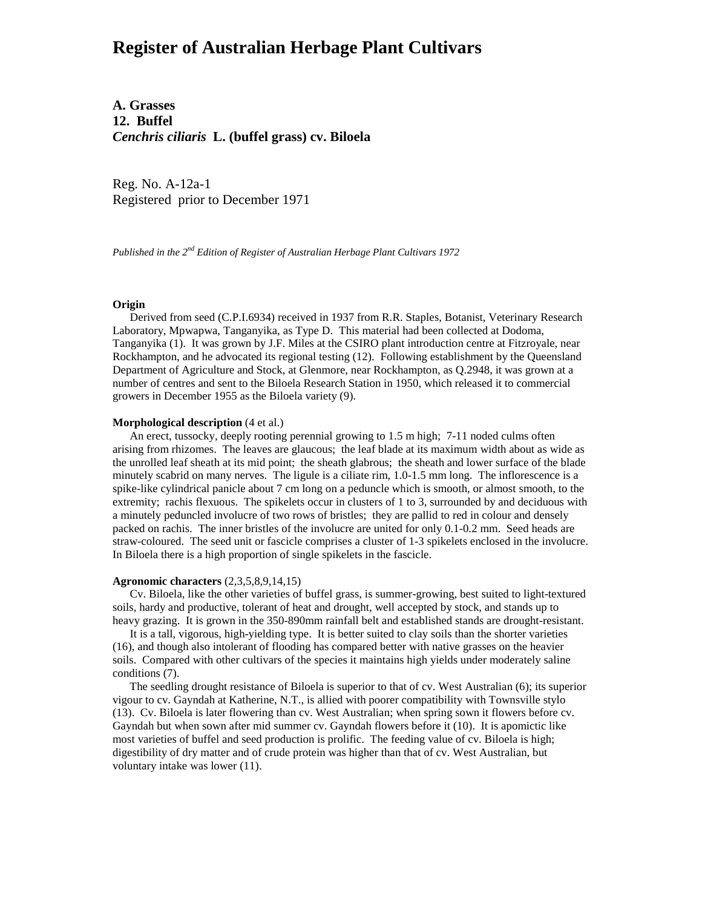# **Register of Australian Herbage Plant Cultivars**

**A. Grasses 12. Buffel** *Cenchris ciliaris* **L. (buffel grass) cv. Biloela**

Reg. No. A-12a-1 Registered prior to December 1971

*Published in the 2nd Edition of Register of Australian Herbage Plant Cultivars 1972*

#### **Origin**

 Derived from seed (C.P.I.6934) received in 1937 from R.R. Staples, Botanist, Veterinary Research Laboratory, Mpwapwa, Tanganyika, as Type D. This material had been collected at Dodoma, Tanganyika (1). It was grown by J.F. Miles at the CSIRO plant introduction centre at Fitzroyale, near Rockhampton, and he advocated its regional testing (12). Following establishment by the Queensland Department of Agriculture and Stock, at Glenmore, near Rockhampton, as Q.2948, it was grown at a number of centres and sent to the Biloela Research Station in 1950, which released it to commercial growers in December 1955 as the Biloela variety (9).

#### **Morphological description** (4 et al.)

 An erect, tussocky, deeply rooting perennial growing to 1.5 m high; 7-11 noded culms often arising from rhizomes. The leaves are glaucous; the leaf blade at its maximum width about as wide as the unrolled leaf sheath at its mid point; the sheath glabrous; the sheath and lower surface of the blade minutely scabrid on many nerves. The ligule is a ciliate rim, 1.0-1.5 mm long. The inflorescence is a spike-like cylindrical panicle about 7 cm long on a peduncle which is smooth, or almost smooth, to the extremity; rachis flexuous. The spikelets occur in clusters of 1 to 3, surrounded by and deciduous with a minutely peduncled involucre of two rows of bristles; they are pallid to red in colour and densely packed on rachis. The inner bristles of the involucre are united for only 0.1-0.2 mm. Seed heads are straw-coloured. The seed unit or fascicle comprises a cluster of 1-3 spikelets enclosed in the involucre. In Biloela there is a high proportion of single spikelets in the fascicle.

### **Agronomic characters** (2,3,5,8,9,14,15)

 Cv. Biloela, like the other varieties of buffel grass, is summer-growing, best suited to light-textured soils, hardy and productive, tolerant of heat and drought, well accepted by stock, and stands up to heavy grazing. It is grown in the 350-890mm rainfall belt and established stands are drought-resistant.

 It is a tall, vigorous, high-yielding type. It is better suited to clay soils than the shorter varieties (16), and though also intolerant of flooding has compared better with native grasses on the heavier soils. Compared with other cultivars of the species it maintains high yields under moderately saline conditions (7).

 The seedling drought resistance of Biloela is superior to that of cv. West Australian (6); its superior vigour to cv. Gayndah at Katherine, N.T., is allied with poorer compatibility with Townsville stylo (13). Cv. Biloela is later flowering than cv. West Australian; when spring sown it flowers before cv. Gayndah but when sown after mid summer cv. Gayndah flowers before it (10). It is apomictic like most varieties of buffel and seed production is prolific. The feeding value of cv. Biloela is high; digestibility of dry matter and of crude protein was higher than that of cv. West Australian, but voluntary intake was lower (11).